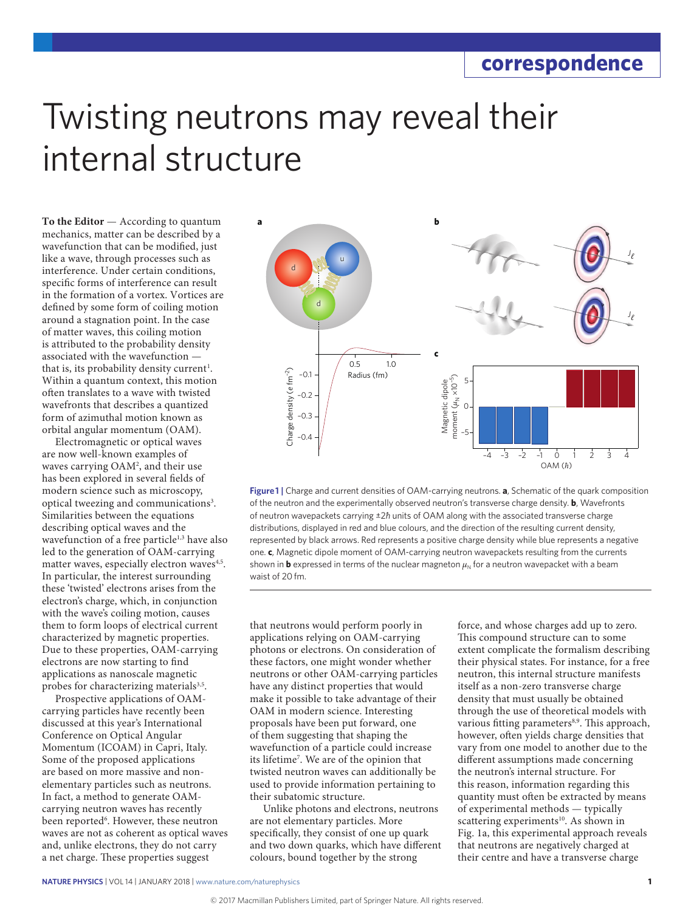## Twisting neutrons may reveal their internal structure

**To the Editor** — According to quantum mechanics, matter can be described by a wavefunction that can be modified, just like a wave, through processes such as interference. Under certain conditions, specific forms of interference can result in the formation of a vortex. Vortices are defined by some form of coiling motion around a stagnation point. In the case of matter waves, this coiling motion is attributed to the probability density associated with the wavefunction that is, its probability density current<sup>1</sup>. Within a quantum context, this motion often translates to a wave with twisted wavefronts that describes a quantized form of azimuthal motion known as orbital angular momentum (OAM).

Electromagnetic or optical waves are now well-known examples of waves carrying OAM2 , and their use has been explored in several fields of modern science such as microscopy, optical tweezing and communications<sup>3</sup>. Similarities between the equations describing optical waves and the wavefunction of a free particle<sup>1,3</sup> have also led to the generation of OAM-carrying matter waves, especially electron waves<sup>4,5</sup>. In particular, the interest surrounding these 'twisted' electrons arises from the electron's charge, which, in conjunction with the wave's coiling motion, causes them to form loops of electrical current characterized by magnetic properties. Due to these properties, OAM-carrying electrons are now starting to find applications as nanoscale magnetic probes for characterizing materials<sup>3,5</sup>.

Prospective applications of OAMcarrying particles have recently been discussed at this year's International Conference on Optical Angular Momentum (ICOAM) in Capri, Italy. Some of the proposed applications are based on more massive and nonelementary particles such as neutrons. In fact, a method to generate OAMcarrying neutron waves has recently been reported<sup>6</sup>. However, these neutron waves are not as coherent as optical waves and, unlike electrons, they do not carry a net charge. These properties suggest



**Figure 1 |** Charge and current densities of OAM-carrying neutrons. **a**, Schematic of the quark composition of the neutron and the experimentally observed neutron's transverse charge density. **b**, Wavefronts of neutron wavepackets carrying ±2*ħ* units of OAM along with the associated transverse charge distributions, displayed in red and blue colours, and the direction of the resulting current density, represented by black arrows. Red represents a positive charge density while blue represents a negative one. **c**, Magnetic dipole moment of OAM-carrying neutron wavepackets resulting from the currents shown in **b** expressed in terms of the nuclear magneton  $\mu_N$  for a neutron wavepacket with a beam waist of 20 fm.

that neutrons would perform poorly in applications relying on OAM-carrying photons or electrons. On consideration of these factors, one might wonder whether neutrons or other OAM-carrying particles have any distinct properties that would make it possible to take advantage of their OAM in modern science. Interesting proposals have been put forward, one of them suggesting that shaping the wavefunction of a particle could increase its lifetime7 . We are of the opinion that twisted neutron waves can additionally be used to provide information pertaining to their subatomic structure.

Unlike photons and electrons, neutrons are not elementary particles. More specifically, they consist of one up quark and two down quarks, which have different colours, bound together by the strong

force, and whose charges add up to zero. This compound structure can to some extent complicate the formalism describing their physical states. For instance, for a free neutron, this internal structure manifests itself as a non-zero transverse charge density that must usually be obtained through the use of theoretical models with various fitting parameters<sup>8,9</sup>. This approach, however, often yields charge densities that vary from one model to another due to the different assumptions made concerning the neutron's internal structure. For this reason, information regarding this quantity must often be extracted by means of experimental methods — typically scattering experiments<sup>10</sup>. As shown in Fig. 1a, this experimental approach reveals that neutrons are negatively charged at their centre and have a transverse charge